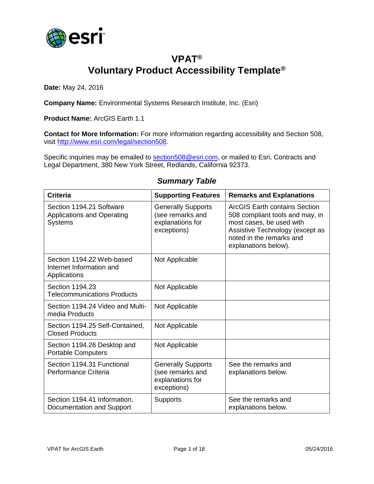

## **VPAT® Voluntary Product Accessibility Template®**

**Date:** May 24, 2016

**Company Name:** Environmental Systems Research Institute, Inc. (Esri)

**Product Name:** ArcGIS Earth 1.1

**Contact for More Information:** For more information regarding accessibility and Section 508, visit [http://www.esri.com/legal/section508.](http://www.esri.com/legal/section508)

Specific inquiries may be emailed to [section508@esri.com,](mailto:section508@esri.com) or mailed to Esri, Contracts and Legal Department, 380 New York Street, Redlands, California 92373.

| <b>Criteria</b>                                                                 | <b>Supporting Features</b>                                                       | <b>Remarks and Explanations</b>                                                                                                                                                     |
|---------------------------------------------------------------------------------|----------------------------------------------------------------------------------|-------------------------------------------------------------------------------------------------------------------------------------------------------------------------------------|
| Section 1194.21 Software<br><b>Applications and Operating</b><br><b>Systems</b> | <b>Generally Supports</b><br>(see remarks and<br>explanations for<br>exceptions) | ArcGIS Earth contains Section<br>508 compliant tools and may, in<br>most cases, be used with<br>Assistive Technology (except as<br>noted in the remarks and<br>explanations below). |
| Section 1194.22 Web-based<br>Internet Information and<br>Applications           | Not Applicable                                                                   |                                                                                                                                                                                     |
| Section 1194.23<br><b>Telecommunications Products</b>                           | Not Applicable                                                                   |                                                                                                                                                                                     |
| Section 1194.24 Video and Multi-<br>media Products                              | Not Applicable                                                                   |                                                                                                                                                                                     |
| Section 1194.25 Self-Contained,<br><b>Closed Products</b>                       | Not Applicable                                                                   |                                                                                                                                                                                     |
| Section 1194.26 Desktop and<br><b>Portable Computers</b>                        | Not Applicable                                                                   |                                                                                                                                                                                     |
| Section 1194.31 Functional<br>Performance Criteria                              | <b>Generally Supports</b><br>(see remarks and<br>explanations for<br>exceptions) | See the remarks and<br>explanations below.                                                                                                                                          |
| Section 1194.41 Information,<br>Documentation and Support                       | <b>Supports</b>                                                                  | See the remarks and<br>explanations below.                                                                                                                                          |

#### *Summary Table*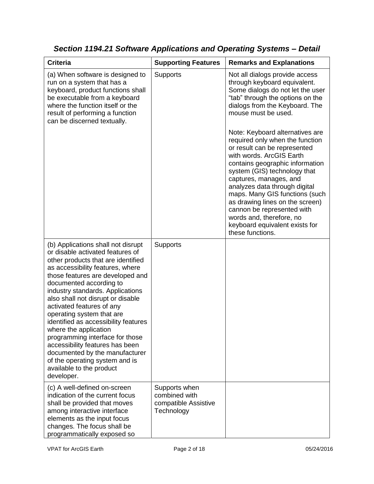| <b>Criteria</b>                                                                                                                                                                                                                                                                                                                                                                                                                                                                                                                                                                                         | <b>Supporting Features</b>                                           | <b>Remarks and Explanations</b>                                                                                                                                                                                                                                                                                                                                                                                                                   |
|---------------------------------------------------------------------------------------------------------------------------------------------------------------------------------------------------------------------------------------------------------------------------------------------------------------------------------------------------------------------------------------------------------------------------------------------------------------------------------------------------------------------------------------------------------------------------------------------------------|----------------------------------------------------------------------|---------------------------------------------------------------------------------------------------------------------------------------------------------------------------------------------------------------------------------------------------------------------------------------------------------------------------------------------------------------------------------------------------------------------------------------------------|
| (a) When software is designed to<br>run on a system that has a<br>keyboard, product functions shall<br>be executable from a keyboard<br>where the function itself or the<br>result of performing a function<br>can be discerned textually.                                                                                                                                                                                                                                                                                                                                                              | <b>Supports</b>                                                      | Not all dialogs provide access<br>through keyboard equivalent.<br>Some dialogs do not let the user<br>"tab" through the options on the<br>dialogs from the Keyboard. The<br>mouse must be used.                                                                                                                                                                                                                                                   |
|                                                                                                                                                                                                                                                                                                                                                                                                                                                                                                                                                                                                         |                                                                      | Note: Keyboard alternatives are<br>required only when the function<br>or result can be represented<br>with words. ArcGIS Earth<br>contains geographic information<br>system (GIS) technology that<br>captures, manages, and<br>analyzes data through digital<br>maps. Many GIS functions (such<br>as drawing lines on the screen)<br>cannon be represented with<br>words and, therefore, no<br>keyboard equivalent exists for<br>these functions. |
| (b) Applications shall not disrupt<br>or disable activated features of<br>other products that are identified<br>as accessibility features, where<br>those features are developed and<br>documented according to<br>industry standards. Applications<br>also shall not disrupt or disable<br>activated features of any<br>operating system that are<br>identified as accessibility features<br>where the application<br>programming interface for those<br>accessibility features has been<br>documented by the manufacturer<br>of the operating system and is<br>available to the product<br>developer. | <b>Supports</b>                                                      |                                                                                                                                                                                                                                                                                                                                                                                                                                                   |
| (c) A well-defined on-screen<br>indication of the current focus<br>shall be provided that moves<br>among interactive interface<br>elements as the input focus<br>changes. The focus shall be<br>programmatically exposed so                                                                                                                                                                                                                                                                                                                                                                             | Supports when<br>combined with<br>compatible Assistive<br>Technology |                                                                                                                                                                                                                                                                                                                                                                                                                                                   |

*Section 1194.21 Software Applications and Operating Systems – Detail*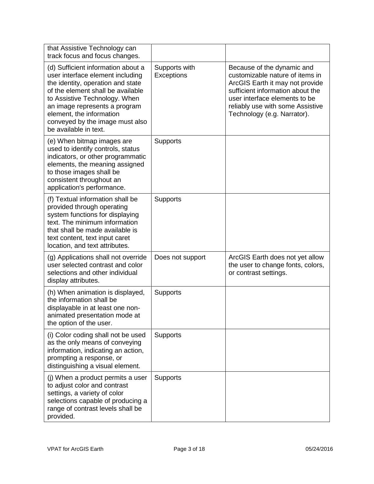| that Assistive Technology can<br>track focus and focus changes.                                                                                                                                                                                                                                            |                             |                                                                                                                                                                                                                                          |
|------------------------------------------------------------------------------------------------------------------------------------------------------------------------------------------------------------------------------------------------------------------------------------------------------------|-----------------------------|------------------------------------------------------------------------------------------------------------------------------------------------------------------------------------------------------------------------------------------|
| (d) Sufficient information about a<br>user interface element including<br>the identity, operation and state<br>of the element shall be available<br>to Assistive Technology. When<br>an image represents a program<br>element, the information<br>conveyed by the image must also<br>be available in text. | Supports with<br>Exceptions | Because of the dynamic and<br>customizable nature of items in<br>ArcGIS Earth it may not provide<br>sufficient information about the<br>user interface elements to be<br>reliably use with some Assistive<br>Technology (e.g. Narrator). |
| (e) When bitmap images are<br>used to identify controls, status<br>indicators, or other programmatic<br>elements, the meaning assigned<br>to those images shall be<br>consistent throughout an<br>application's performance.                                                                               | <b>Supports</b>             |                                                                                                                                                                                                                                          |
| (f) Textual information shall be<br>provided through operating<br>system functions for displaying<br>text. The minimum information<br>that shall be made available is<br>text content, text input caret<br>location, and text attributes.                                                                  | Supports                    |                                                                                                                                                                                                                                          |
| (g) Applications shall not override<br>user selected contrast and color<br>selections and other individual<br>display attributes.                                                                                                                                                                          | Does not support            | ArcGIS Earth does not yet allow<br>the user to change fonts, colors,<br>or contrast settings.                                                                                                                                            |
| (h) When animation is displayed,<br>the information shall be<br>displayable in at least one non-<br>animated presentation mode at<br>the option of the user.                                                                                                                                               | <b>Supports</b>             |                                                                                                                                                                                                                                          |
| (i) Color coding shall not be used<br>as the only means of conveying<br>information, indicating an action,<br>prompting a response, or<br>distinguishing a visual element.                                                                                                                                 | Supports                    |                                                                                                                                                                                                                                          |
| (i) When a product permits a user<br>to adjust color and contrast<br>settings, a variety of color<br>selections capable of producing a<br>range of contrast levels shall be<br>provided.                                                                                                                   | <b>Supports</b>             |                                                                                                                                                                                                                                          |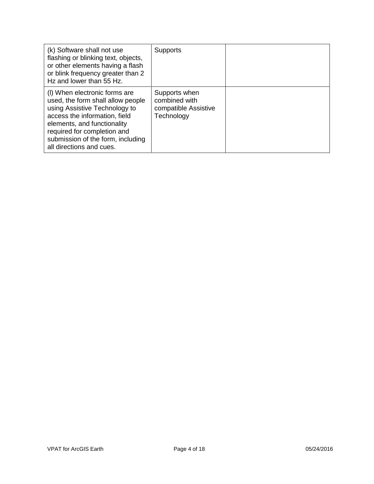| (k) Software shall not use<br>flashing or blinking text, objects,<br>or other elements having a flash<br>or blink frequency greater than 2<br>Hz and lower than 55 Hz.                                                                                              | <b>Supports</b>                                                      |  |
|---------------------------------------------------------------------------------------------------------------------------------------------------------------------------------------------------------------------------------------------------------------------|----------------------------------------------------------------------|--|
| (I) When electronic forms are<br>used, the form shall allow people<br>using Assistive Technology to<br>access the information, field<br>elements, and functionality<br>required for completion and<br>submission of the form, including<br>all directions and cues. | Supports when<br>combined with<br>compatible Assistive<br>Technology |  |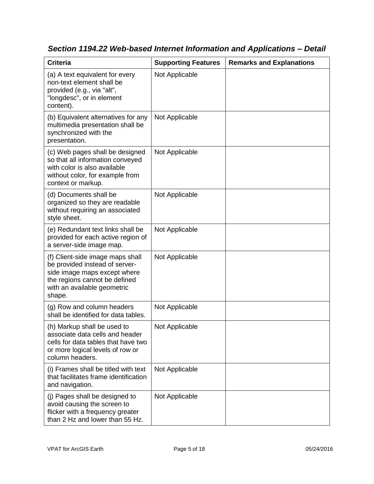| <b>Criteria</b>                                                                                                                                                              | <b>Supporting Features</b> | <b>Remarks and Explanations</b> |
|------------------------------------------------------------------------------------------------------------------------------------------------------------------------------|----------------------------|---------------------------------|
| (a) A text equivalent for every<br>non-text element shall be<br>provided (e.g., via "alt",<br>"longdesc", or in element<br>content).                                         | Not Applicable             |                                 |
| (b) Equivalent alternatives for any<br>multimedia presentation shall be<br>synchronized with the<br>presentation.                                                            | Not Applicable             |                                 |
| (c) Web pages shall be designed<br>so that all information conveyed<br>with color is also available<br>without color, for example from<br>context or markup.                 | Not Applicable             |                                 |
| (d) Documents shall be<br>organized so they are readable<br>without requiring an associated<br>style sheet.                                                                  | Not Applicable             |                                 |
| (e) Redundant text links shall be<br>provided for each active region of<br>a server-side image map.                                                                          | Not Applicable             |                                 |
| (f) Client-side image maps shall<br>be provided instead of server-<br>side image maps except where<br>the regions cannot be defined<br>with an available geometric<br>shape. | Not Applicable             |                                 |
| (g) Row and column headers<br>shall be identified for data tables.                                                                                                           | Not Applicable             |                                 |
| (h) Markup shall be used to<br>associate data cells and header<br>cells for data tables that have two<br>or more logical levels of row or<br>column headers.                 | Not Applicable             |                                 |
| (i) Frames shall be titled with text<br>that facilitates frame identification<br>and navigation.                                                                             | Not Applicable             |                                 |
| (j) Pages shall be designed to<br>avoid causing the screen to<br>flicker with a frequency greater<br>than 2 Hz and lower than 55 Hz.                                         | Not Applicable             |                                 |

*Section 1194.22 Web-based Internet Information and Applications – Detail*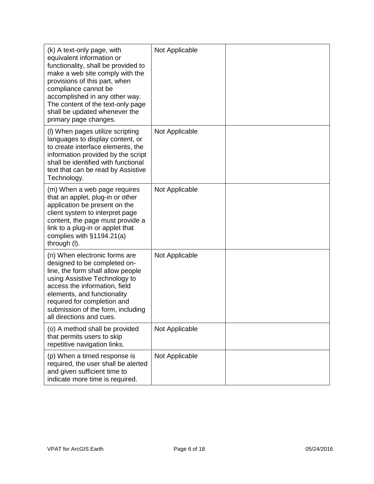| (k) A text-only page, with<br>equivalent information or<br>functionality, shall be provided to<br>make a web site comply with the<br>provisions of this part, when<br>compliance cannot be<br>accomplished in any other way.<br>The content of the text-only page<br>shall be updated whenever the<br>primary page changes. | Not Applicable |  |
|-----------------------------------------------------------------------------------------------------------------------------------------------------------------------------------------------------------------------------------------------------------------------------------------------------------------------------|----------------|--|
| (I) When pages utilize scripting<br>languages to display content, or<br>to create interface elements, the<br>information provided by the script<br>shall be identified with functional<br>text that can be read by Assistive<br>Technology.                                                                                 | Not Applicable |  |
| (m) When a web page requires<br>that an applet, plug-in or other<br>application be present on the<br>client system to interpret page<br>content, the page must provide a<br>link to a plug-in or applet that<br>complies with $§1194.21(a)$<br>through (I).                                                                 | Not Applicable |  |
| (n) When electronic forms are<br>designed to be completed on-<br>line, the form shall allow people<br>using Assistive Technology to<br>access the information, field<br>elements, and functionality<br>required for completion and<br>submission of the form, including<br>all directions and cues.                         | Not Applicable |  |
| (o) A method shall be provided<br>that permits users to skip<br>repetitive navigation links.                                                                                                                                                                                                                                | Not Applicable |  |
| (p) When a timed response is<br>required, the user shall be alerted<br>and given sufficient time to<br>indicate more time is required.                                                                                                                                                                                      | Not Applicable |  |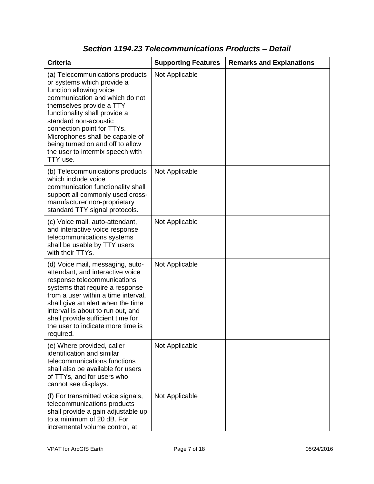| <b>Criteria</b>                                                                                                                                                                                                                                                                                                                                                       | <b>Supporting Features</b> | <b>Remarks and Explanations</b> |
|-----------------------------------------------------------------------------------------------------------------------------------------------------------------------------------------------------------------------------------------------------------------------------------------------------------------------------------------------------------------------|----------------------------|---------------------------------|
| (a) Telecommunications products<br>or systems which provide a<br>function allowing voice<br>communication and which do not<br>themselves provide a TTY<br>functionality shall provide a<br>standard non-acoustic<br>connection point for TTYs.<br>Microphones shall be capable of<br>being turned on and off to allow<br>the user to intermix speech with<br>TTY use. | Not Applicable             |                                 |
| (b) Telecommunications products<br>which include voice<br>communication functionality shall<br>support all commonly used cross-<br>manufacturer non-proprietary<br>standard TTY signal protocols.                                                                                                                                                                     | Not Applicable             |                                 |
| (c) Voice mail, auto-attendant,<br>and interactive voice response<br>telecommunications systems<br>shall be usable by TTY users<br>with their TTYs.                                                                                                                                                                                                                   | Not Applicable             |                                 |
| (d) Voice mail, messaging, auto-<br>attendant, and interactive voice<br>response telecommunications<br>systems that require a response<br>from a user within a time interval,<br>shall give an alert when the time<br>interval is about to run out, and<br>shall provide sufficient time for<br>the user to indicate more time is<br>required.                        | Not Applicable             |                                 |
| (e) Where provided, caller<br>identification and similar<br>telecommunications functions<br>shall also be available for users<br>of TTYs, and for users who<br>cannot see displays.                                                                                                                                                                                   | Not Applicable             |                                 |
| (f) For transmitted voice signals,<br>telecommunications products<br>shall provide a gain adjustable up<br>to a minimum of 20 dB. For<br>incremental volume control, at                                                                                                                                                                                               | Not Applicable             |                                 |

### *Section 1194.23 Telecommunications Products – Detail*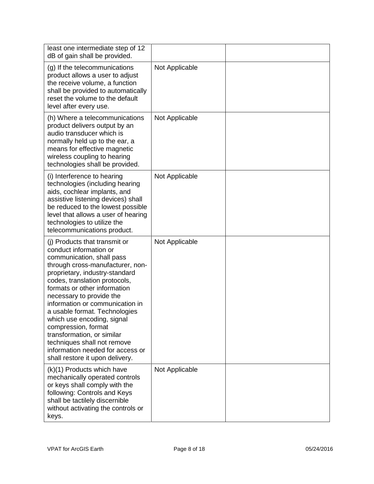| least one intermediate step of 12<br>dB of gain shall be provided.                                                                                                                                                                                                                                                                                                                                                                                                                                                   |                |  |
|----------------------------------------------------------------------------------------------------------------------------------------------------------------------------------------------------------------------------------------------------------------------------------------------------------------------------------------------------------------------------------------------------------------------------------------------------------------------------------------------------------------------|----------------|--|
| (g) If the telecommunications<br>product allows a user to adjust<br>the receive volume, a function<br>shall be provided to automatically<br>reset the volume to the default<br>level after every use.                                                                                                                                                                                                                                                                                                                | Not Applicable |  |
| (h) Where a telecommunications<br>product delivers output by an<br>audio transducer which is<br>normally held up to the ear, a<br>means for effective magnetic<br>wireless coupling to hearing<br>technologies shall be provided.                                                                                                                                                                                                                                                                                    | Not Applicable |  |
| (i) Interference to hearing<br>technologies (including hearing<br>aids, cochlear implants, and<br>assistive listening devices) shall<br>be reduced to the lowest possible<br>level that allows a user of hearing<br>technologies to utilize the<br>telecommunications product.                                                                                                                                                                                                                                       | Not Applicable |  |
| (i) Products that transmit or<br>conduct information or<br>communication, shall pass<br>through cross-manufacturer, non-<br>proprietary, industry-standard<br>codes, translation protocols,<br>formats or other information<br>necessary to provide the<br>information or communication in<br>a usable format. Technologies<br>which use encoding, signal<br>compression, format<br>transformation, or similar<br>techniques shall not remove<br>information needed for access or<br>shall restore it upon delivery. | Not Applicable |  |
| (k)(1) Products which have<br>mechanically operated controls<br>or keys shall comply with the<br>following: Controls and Keys<br>shall be tactilely discernible<br>without activating the controls or<br>keys.                                                                                                                                                                                                                                                                                                       | Not Applicable |  |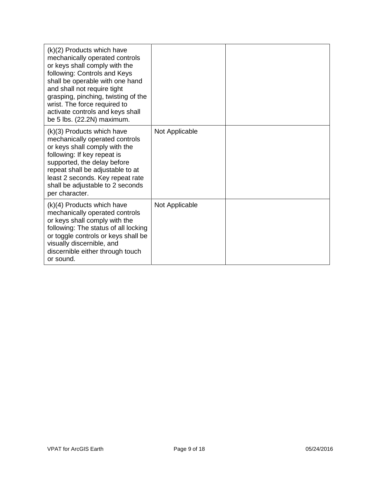| (k)(2) Products which have<br>mechanically operated controls<br>or keys shall comply with the<br>following: Controls and Keys<br>shall be operable with one hand<br>and shall not require tight<br>grasping, pinching, twisting of the<br>wrist. The force required to<br>activate controls and keys shall<br>be 5 lbs. (22.2N) maximum. |                |  |
|------------------------------------------------------------------------------------------------------------------------------------------------------------------------------------------------------------------------------------------------------------------------------------------------------------------------------------------|----------------|--|
| (k)(3) Products which have<br>mechanically operated controls<br>or keys shall comply with the<br>following: If key repeat is<br>supported, the delay before<br>repeat shall be adjustable to at<br>least 2 seconds. Key repeat rate<br>shall be adjustable to 2 seconds<br>per character.                                                | Not Applicable |  |
| $(k)(4)$ Products which have<br>mechanically operated controls<br>or keys shall comply with the<br>following: The status of all locking<br>or toggle controls or keys shall be<br>visually discernible, and<br>discernible either through touch<br>or sound.                                                                             | Not Applicable |  |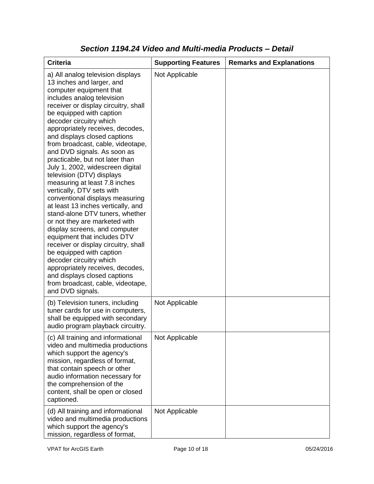| <b>Criteria</b>                                                                                                                                                                                                                                                                                                                                                                                                                                                                                                                                                                                                                                                                                                                                                                                                                                                                                                                                                           | <b>Supporting Features</b> | <b>Remarks and Explanations</b> |
|---------------------------------------------------------------------------------------------------------------------------------------------------------------------------------------------------------------------------------------------------------------------------------------------------------------------------------------------------------------------------------------------------------------------------------------------------------------------------------------------------------------------------------------------------------------------------------------------------------------------------------------------------------------------------------------------------------------------------------------------------------------------------------------------------------------------------------------------------------------------------------------------------------------------------------------------------------------------------|----------------------------|---------------------------------|
| a) All analog television displays<br>13 inches and larger, and<br>computer equipment that<br>includes analog television<br>receiver or display circuitry, shall<br>be equipped with caption<br>decoder circuitry which<br>appropriately receives, decodes,<br>and displays closed captions<br>from broadcast, cable, videotape,<br>and DVD signals. As soon as<br>practicable, but not later than<br>July 1, 2002, widescreen digital<br>television (DTV) displays<br>measuring at least 7.8 inches<br>vertically, DTV sets with<br>conventional displays measuring<br>at least 13 inches vertically, and<br>stand-alone DTV tuners, whether<br>or not they are marketed with<br>display screens, and computer<br>equipment that includes DTV<br>receiver or display circuitry, shall<br>be equipped with caption<br>decoder circuitry which<br>appropriately receives, decodes,<br>and displays closed captions<br>from broadcast, cable, videotape,<br>and DVD signals. | Not Applicable             |                                 |
| (b) Television tuners, including<br>tuner cards for use in computers,<br>shall be equipped with secondary<br>audio program playback circuitry.                                                                                                                                                                                                                                                                                                                                                                                                                                                                                                                                                                                                                                                                                                                                                                                                                            | Not Applicable             |                                 |
| (c) All training and informational<br>video and multimedia productions<br>which support the agency's<br>mission, regardless of format,<br>that contain speech or other<br>audio information necessary for<br>the comprehension of the<br>content, shall be open or closed<br>captioned.                                                                                                                                                                                                                                                                                                                                                                                                                                                                                                                                                                                                                                                                                   | Not Applicable             |                                 |
| (d) All training and informational<br>video and multimedia productions<br>which support the agency's<br>mission, regardless of format,                                                                                                                                                                                                                                                                                                                                                                                                                                                                                                                                                                                                                                                                                                                                                                                                                                    | Not Applicable             |                                 |

#### *Section 1194.24 Video and Multi-media Products – Detail*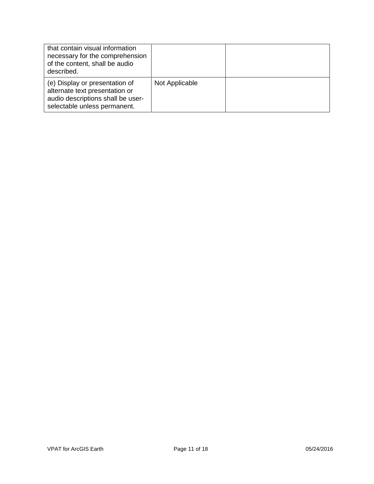| that contain visual information<br>necessary for the comprehension<br>of the content, shall be audio<br>described.                    |                |  |
|---------------------------------------------------------------------------------------------------------------------------------------|----------------|--|
| (e) Display or presentation of<br>alternate text presentation or<br>audio descriptions shall be user-<br>selectable unless permanent. | Not Applicable |  |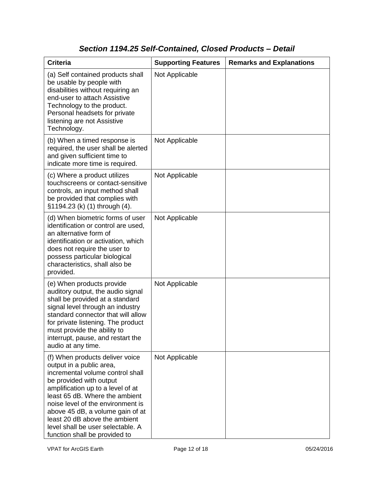# *Section 1194.25 Self-Contained, Closed Products – Detail*

| <b>Criteria</b>                                                                                                                                                                                                                                                                                                                                                                   | <b>Supporting Features</b> | <b>Remarks and Explanations</b> |
|-----------------------------------------------------------------------------------------------------------------------------------------------------------------------------------------------------------------------------------------------------------------------------------------------------------------------------------------------------------------------------------|----------------------------|---------------------------------|
| (a) Self contained products shall<br>be usable by people with<br>disabilities without requiring an<br>end-user to attach Assistive<br>Technology to the product.<br>Personal headsets for private<br>listening are not Assistive<br>Technology.                                                                                                                                   | Not Applicable             |                                 |
| (b) When a timed response is<br>required, the user shall be alerted<br>and given sufficient time to<br>indicate more time is required.                                                                                                                                                                                                                                            | Not Applicable             |                                 |
| (c) Where a product utilizes<br>touchscreens or contact-sensitive<br>controls, an input method shall<br>be provided that complies with<br>§1194.23 (k) (1) through (4).                                                                                                                                                                                                           | Not Applicable             |                                 |
| (d) When biometric forms of user<br>identification or control are used,<br>an alternative form of<br>identification or activation, which<br>does not require the user to<br>possess particular biological<br>characteristics, shall also be<br>provided.                                                                                                                          | Not Applicable             |                                 |
| (e) When products provide<br>auditory output, the audio signal<br>shall be provided at a standard<br>signal level through an industry<br>standard connector that will allow<br>for private listening. The product<br>must provide the ability to<br>interrupt, pause, and restart the<br>audio at any time.                                                                       | Not Applicable             |                                 |
| (f) When products deliver voice<br>output in a public area,<br>incremental volume control shall<br>be provided with output<br>amplification up to a level of at<br>least 65 dB. Where the ambient<br>noise level of the environment is<br>above 45 dB, a volume gain of at<br>least 20 dB above the ambient<br>level shall be user selectable. A<br>function shall be provided to | Not Applicable             |                                 |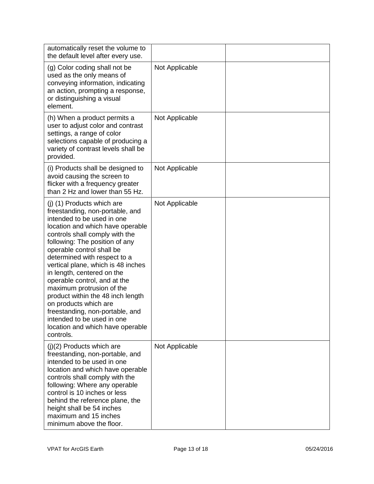| automatically reset the volume to<br>the default level after every use.                                                                                                                                                                                                                                                                                                                                                                                                                                                                                                           |                |  |
|-----------------------------------------------------------------------------------------------------------------------------------------------------------------------------------------------------------------------------------------------------------------------------------------------------------------------------------------------------------------------------------------------------------------------------------------------------------------------------------------------------------------------------------------------------------------------------------|----------------|--|
| (g) Color coding shall not be<br>used as the only means of<br>conveying information, indicating<br>an action, prompting a response,<br>or distinguishing a visual<br>element.                                                                                                                                                                                                                                                                                                                                                                                                     | Not Applicable |  |
| (h) When a product permits a<br>user to adjust color and contrast<br>settings, a range of color<br>selections capable of producing a<br>variety of contrast levels shall be<br>provided.                                                                                                                                                                                                                                                                                                                                                                                          | Not Applicable |  |
| (i) Products shall be designed to<br>avoid causing the screen to<br>flicker with a frequency greater<br>than 2 Hz and lower than 55 Hz.                                                                                                                                                                                                                                                                                                                                                                                                                                           | Not Applicable |  |
| (j) (1) Products which are<br>freestanding, non-portable, and<br>intended to be used in one<br>location and which have operable<br>controls shall comply with the<br>following: The position of any<br>operable control shall be<br>determined with respect to a<br>vertical plane, which is 48 inches<br>in length, centered on the<br>operable control, and at the<br>maximum protrusion of the<br>product within the 48 inch length<br>on products which are<br>freestanding, non-portable, and<br>intended to be used in one<br>location and which have operable<br>controls. | Not Applicable |  |
| $(j)(2)$ Products which are<br>freestanding, non-portable, and<br>intended to be used in one<br>location and which have operable<br>controls shall comply with the<br>following: Where any operable<br>control is 10 inches or less<br>behind the reference plane, the<br>height shall be 54 inches<br>maximum and 15 inches<br>minimum above the floor.                                                                                                                                                                                                                          | Not Applicable |  |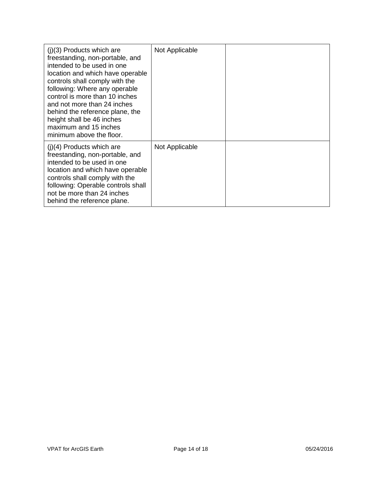| $(i)(3)$ Products which are<br>freestanding, non-portable, and<br>intended to be used in one<br>location and which have operable<br>controls shall comply with the<br>following: Where any operable<br>control is more than 10 inches<br>and not more than 24 inches<br>behind the reference plane, the<br>height shall be 46 inches<br>maximum and 15 inches<br>minimum above the floor. | Not Applicable |  |
|-------------------------------------------------------------------------------------------------------------------------------------------------------------------------------------------------------------------------------------------------------------------------------------------------------------------------------------------------------------------------------------------|----------------|--|
| $(i)(4)$ Products which are<br>freestanding, non-portable, and<br>intended to be used in one<br>location and which have operable<br>controls shall comply with the<br>following: Operable controls shall<br>not be more than 24 inches<br>behind the reference plane.                                                                                                                     | Not Applicable |  |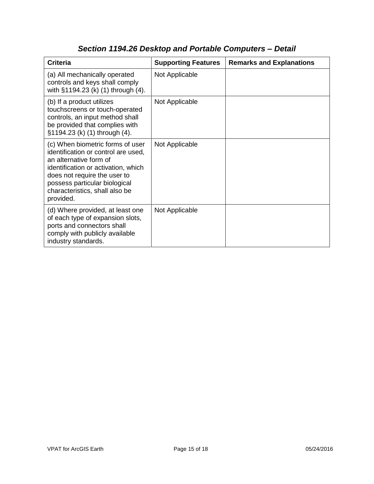| <b>Criteria</b>                                                                                                                                                                                                                                          | <b>Supporting Features</b> | <b>Remarks and Explanations</b> |
|----------------------------------------------------------------------------------------------------------------------------------------------------------------------------------------------------------------------------------------------------------|----------------------------|---------------------------------|
| (a) All mechanically operated<br>controls and keys shall comply<br>with §1194.23 (k) (1) through (4).                                                                                                                                                    | Not Applicable             |                                 |
| (b) If a product utilizes<br>touchscreens or touch-operated<br>controls, an input method shall<br>be provided that complies with<br>§1194.23 (k) (1) through (4).                                                                                        | Not Applicable             |                                 |
| (c) When biometric forms of user<br>identification or control are used,<br>an alternative form of<br>identification or activation, which<br>does not require the user to<br>possess particular biological<br>characteristics, shall also be<br>provided. | Not Applicable             |                                 |
| (d) Where provided, at least one<br>of each type of expansion slots,<br>ports and connectors shall<br>comply with publicly available<br>industry standards.                                                                                              | Not Applicable             |                                 |

# *Section 1194.26 Desktop and Portable Computers – Detail*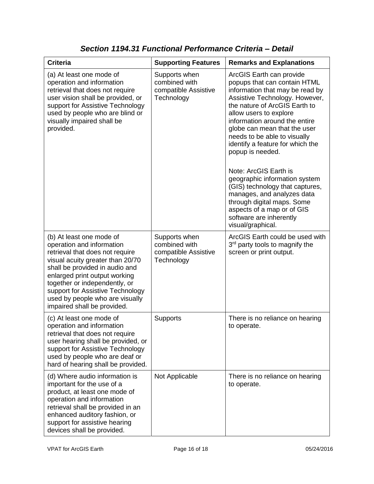| <b>Criteria</b>                                                                                                                                                                                                                                                                                                                        | <b>Supporting Features</b>                                           | <b>Remarks and Explanations</b>                                                                                                                                                                                                                                                                                                                                                                                                                                                                                                                                                          |
|----------------------------------------------------------------------------------------------------------------------------------------------------------------------------------------------------------------------------------------------------------------------------------------------------------------------------------------|----------------------------------------------------------------------|------------------------------------------------------------------------------------------------------------------------------------------------------------------------------------------------------------------------------------------------------------------------------------------------------------------------------------------------------------------------------------------------------------------------------------------------------------------------------------------------------------------------------------------------------------------------------------------|
| (a) At least one mode of<br>operation and information<br>retrieval that does not require<br>user vision shall be provided, or<br>support for Assistive Technology<br>used by people who are blind or<br>visually impaired shall be<br>provided.                                                                                        | Supports when<br>combined with<br>compatible Assistive<br>Technology | ArcGIS Earth can provide<br>popups that can contain HTML<br>information that may be read by<br>Assistive Technology. However,<br>the nature of ArcGIS Earth to<br>allow users to explore<br>information around the entire<br>globe can mean that the user<br>needs to be able to visually<br>identify a feature for which the<br>popup is needed.<br>Note: ArcGIS Earth is<br>geographic information system<br>(GIS) technology that captures,<br>manages, and analyzes data<br>through digital maps. Some<br>aspects of a map or of GIS<br>software are inherently<br>visual/graphical. |
| (b) At least one mode of<br>operation and information<br>retrieval that does not require<br>visual acuity greater than 20/70<br>shall be provided in audio and<br>enlarged print output working<br>together or independently, or<br>support for Assistive Technology<br>used by people who are visually<br>impaired shall be provided. | Supports when<br>combined with<br>compatible Assistive<br>Technology | ArcGIS Earth could be used with<br>3 <sup>rd</sup> party tools to magnify the<br>screen or print output.                                                                                                                                                                                                                                                                                                                                                                                                                                                                                 |
| (c) At least one mode of<br>operation and information<br>retrieval that does not require<br>user hearing shall be provided, or<br>support for Assistive Technology<br>used by people who are deaf or<br>hard of hearing shall be provided.                                                                                             | Supports                                                             | There is no reliance on hearing<br>to operate.                                                                                                                                                                                                                                                                                                                                                                                                                                                                                                                                           |
| (d) Where audio information is<br>important for the use of a<br>product, at least one mode of<br>operation and information<br>retrieval shall be provided in an<br>enhanced auditory fashion, or<br>support for assistive hearing<br>devices shall be provided.                                                                        | Not Applicable                                                       | There is no reliance on hearing<br>to operate.                                                                                                                                                                                                                                                                                                                                                                                                                                                                                                                                           |

*Section 1194.31 Functional Performance Criteria – Detail*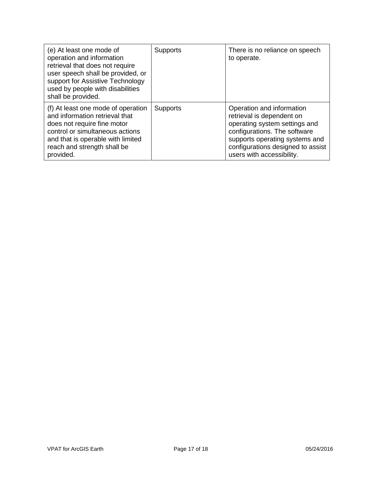| (e) At least one mode of<br>operation and information<br>retrieval that does not require<br>user speech shall be provided, or<br>support for Assistive Technology<br>used by people with disabilities<br>shall be provided. | <b>Supports</b> | There is no reliance on speech<br>to operate.                                                                                                                                                                               |
|-----------------------------------------------------------------------------------------------------------------------------------------------------------------------------------------------------------------------------|-----------------|-----------------------------------------------------------------------------------------------------------------------------------------------------------------------------------------------------------------------------|
| (f) At least one mode of operation<br>and information retrieval that<br>does not require fine motor<br>control or simultaneous actions<br>and that is operable with limited<br>reach and strength shall be<br>provided.     | <b>Supports</b> | Operation and information<br>retrieval is dependent on<br>operating system settings and<br>configurations. The software<br>supports operating systems and<br>configurations designed to assist<br>users with accessibility. |